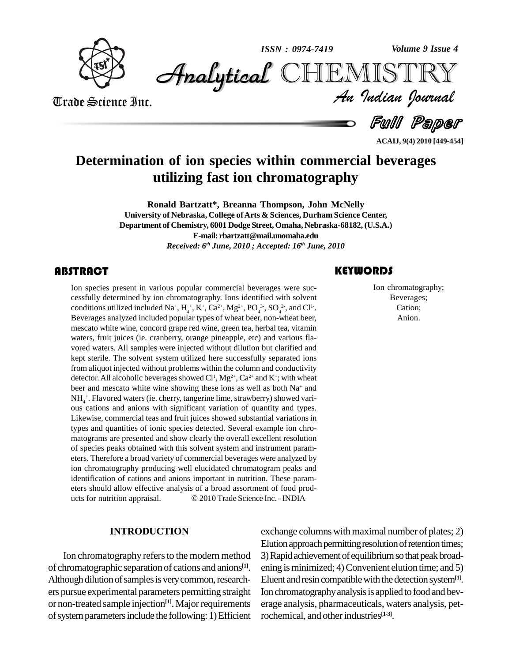

*Volume 9 Issue 4*



Trade Science Inc. Trade Science Inc.

*Volume 9 Issue 4*<br>IISTRY<br>*Indian Iournal* 

Full Paper

**ACAIJ, 9(4) 2010 [449-454]**

### **Determination of ion species within commercial beverages utilizing fast ion chromatography**

**Ronald Bartzatt\*, Breanna Thompson, John McNelly University of Nebraska, College ofArts & Sciences, Durham Science Center, Department of Chemistry, 6001 Dodge Street,Omaha, Nebraska-68182, (U.S.A.) E-mail: [rbartzatt@mail.unomaha.edu](mailto:rbartzatt@mail.unomaha.edu)** *Received: 6 th June, 2010 ; Accepted: 16 th June, 2010*

In species present in v<br>cessfully determined by<br>conditions utilized include Ion species present in various popular commercial beverages were suc cessfully determined by ion chromatography. Ions identified with solvent conditions utilized included Na<sup>+</sup>, H<sub>4</sub><sup>+</sup>, K<sup>+</sup>, Ca<sup>2+</sup>, Mg<sup>2+</sup>, PO<sub>4</sub><sup>3</sup>, SO<sub>4</sub><sup>2</sup>, and Cl<sup>1</sup>.<br>Beverages analyzed included popular types of wheat beer, non-wheat beer, mescato white wine, concord grape red wine, green tea, herbal tea, vitamin waters, fruit juices (ie. cranberry, orange pineapple, etc) and various fla vored waters. All samples were injected without dilution but clarified and kept sterile. The solvent system utilized here successfully separated ions from aliquot injected without problems within the column and conductivity detector. All alcoholic beverages showed Cl<sup>1</sup>, Mg<sup>2+</sup>, Ca<sup>2+</sup> and K<sup>+</sup>; with wheat beer and mescato white wine showing these ions as well as both Na<sup>+</sup> and NH<sub>4</sub><sup>+</sup>. Flavored waters (ie. cherry, tangerine lime, strawberry) showed various cations and anions with significant variation of quantity and types. Likewise, commercial teas and fruit juices showed substantial variations in types and quantities of ionic species detected. Several example ion chro matograms are presented and show clearly the overall excellent resolution of species peaks obtained with this solvent system and instrument param eters. Therefore a broad variety of commercial beverages were analyzed by ion chromatography producing well elucidated chromatogram peaks and identification of cations and anions important in nutrition. These parameters should allow effective analysis of a broad assortment of food products for nutrition appraisal.  $\textcircled{2010}$  Trade Science Inc. - INDIA eters should allow effective analysis of a broad assortment of food prod-

#### **INTRODUCTION**

Ion chromatography refers to the modern method of chromatographic separation of cations and anions<sup>[1]</sup>. Although dilution of samples is very common, researchers pursue experimental parameters permitting straight or non-treated sample injection<sup>[1]</sup>. Major requirements erage of system parameters include the following: 1) Efficient

### **KEYWORDS**

Ion chromatogra<br>Beverages;<br>Cation; Ion chromatography; Beverages; Cation; Anion.

**[1]**. ening isminimized; 4)Convenient elution time; and 5) exchange columns with maximal number of plates;  $2)$ Elution approach permitting resolution of retention times; 3) Rapid achievement of equilibrium so that peak broad-Eluent and resin compatible with the detection system<sup>[1]</sup>. Ion chromatography analysis is applied to food and beverage analysis, pharmaceuticals, waters analysis, petrochemical, and other industries<sup>[1-3]</sup>.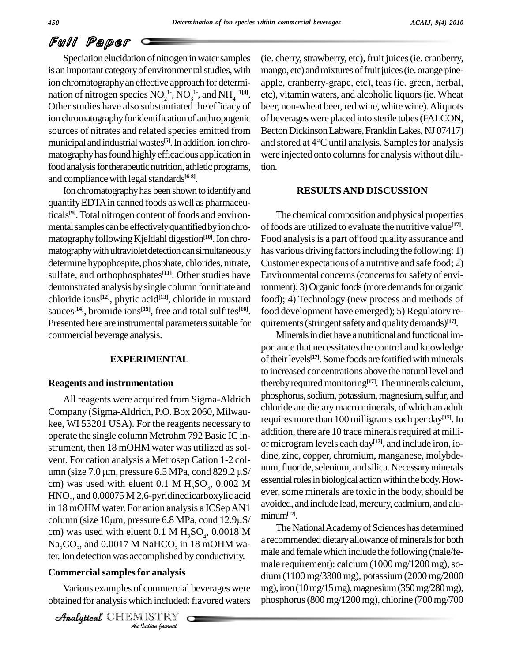## Full Paper

Speciation elucidation of nitrogen in water samples is an important category of environmental studies, with ion chromatography an effective approach for determination of nitrogen species  $NO<sub>2</sub><sup>1</sup>$ ,  $NO<sub>3</sub><sup>1</sup>$ , and  $NH<sub>4</sub><sup>+1[4]</sup>$ . etc),<br>Other studies have also substantiated the efficacy of beer ion chromatography for identification of anthropogenic sources of nitrates and related species emitted from municipal and industrial wastes<sup>[5]</sup>. In addition, ion chro- and matography has found highly efficacious application in food analysis for therapeutic nutrition, athletic programs, and compliance with legal standards<sup>[6-8]</sup>.

Ion chromatography has been shown to identify and quantifyEDTAin canned foods aswell as pharmaceuticals **[9]**. Total nitrogen content of foods and environ mental samples can be effectively quantified by ion chromatography following Kjeldahl digestion<sup>[10]</sup>. Ion chro- Foc matography with ultraviolet detection can simultaneously determine hypophospite, phosphate, chlorides, nitrate, sulfate, and orthophosphates<sup>[11]</sup>. Other studies have Enviro demonstrated analysis bysingle column fornitrate and chloride ions **[12]**, phytic acid **[13]**, chloride in mustard sauces<sup>[14]</sup>, bromide ions<sup>[15]</sup>, free and total sulfites<sup>[16]</sup>. fo Presented here are instrumental parameters suitable for commercial beverage analysis.

#### **EXPERIMENTAL**

#### **Reagents and instrumentation**

ter. Ion detection was accomplished by conductivity. All reagents were acquired from Sigma-Aldrich Company (Sigma-Aldrich, P.O. Box 2060, Milwau kee, WI 53201 USA). For the reagents necessary to operate the single column Metrohm 792 Basic IC instrument, then 18 mOHM water was utilized as solvent. For cation analysis a Metrosep Cation 1-2 col umn (size 7.0  $\mu$ m, pressure 6.5 MPa, cond 829.2  $\mu$ S/ cm) was used with eluent  $0.1 \text{ M H}_2\text{SO}_4$ ,  $0.002 \text{ M}$  essential foles in  $HNO<sub>3</sub>$ , and 0.00075 M 2,6-pyridinedicarboxylic acid ever, so<br>in 18 mOHM water. For anion analysis a ICSep AN1 avoided<br>column (size 10µm, pressure 6.8 MPa, cond 12.9µS/ minum in 18 mOHM water. For anion analysis a ICSep AN1 cm) was used with eluent  $0.1 M H_2SO_4$ ,  $0.0018 M 1$  is recommended  $\text{Na}_2\text{CO}_3$ , and 0.0017 M NaHCO<sub>3</sub> in 18 mOHM wa-<br>male and t

#### **Commercialsamplesfor analysis**

*I*<br>*Ior analysis*<br><sup>*I*</sup> commercial<br>ich included:<br>*IISTRY* Various examples of commercial beverages were obtained for analysis which included: flavored waters

CHEMISTRY COMMENT

(ie. cherry, strawberry, etc), fruit juices (ie. cranberry, mango, etc) and mixtures of fruit juices (ie. orange pineapple, cranberry-grape, etc), teas (ie. green, herbal, etc), vitamin waters, and alcoholic liquors(ie. Wheat beer, non-wheat beer, red wine, white wine). Aliquots of beverages were placed into sterile tubes (FALCON,<br>Becton Dickinson Labware, Franklin Lakes, NJ 07417)<br>and stored at 4°C until analysis. Samples for analysis Becton Dickinson Labware, Franklin Lakes, NJ 07417) were injected onto columns for analysis without dilution.

#### **RESULTSAND DISCUSSION**

The chemical composition and physical properties offoods are utilized to evaluate the nutritive value **[17]**. Food analysis is a part of food quality assurance and has various driving factors including the following: 1) Customer expectations of a nutritive and safe food; 2) Environmental concerns (concerns for safety of environment); 3) Organic foods (more demands for organic food); 4) Technology (new process and methods of food development have emerged); 5) Regulatory re quirements (stringent safety and quality demands)<sup>[17]</sup>.

Minerals in diet have a nutritional and functional importance that necessitates the control and knowledge of their levels<sup>[17]</sup>. Some foods are fortified with minerals to increased concentrations above the natural level and thereby required monitoring<sup>[17]</sup>. The minerals calcium, phosphorus, sodium, potassium, magnesium, sulfur, and chloride are dietarymacrominerals, of which an adult requires more than 100milligrams each per day **[17]**.In addition, there are 10 trace minerals required at millior microgram levels each day **[17]**, and include iron, io dine, zinc, copper, chromium, manganese, molybde num, fluoride, selenium, and silica. Necessary minerals essential roles in biological action within the body. However, some minerals are toxic in the body, should be avoided, and include lead, mercury, cadmium, and aluminum**[17]**.

The National Academy of Sciences has determined a recommended dietary allowance of minerals for both male and femalewhich include the following (male/fe male requirement): calcium (1000 mg/1200 mg), sodium (1100 mg/3300mg), potassium (2000 mg/2000 mg), iron (10 mg/15 mg), magnesium (350 mg/280 mg), phosphorus(800mg/1200mg), chlorine (700mg/700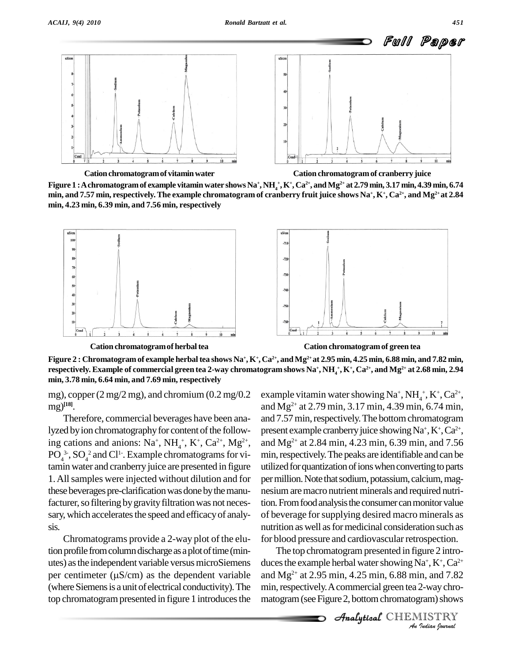

**Cationchromatogramof vitaminwater Cation chromatogramof cranberry juice**

Figure  $1$  : A chromatogram of example vitamin water shows Na\*, NH  $^+_4$ , K\*, Ca $^{2+}$ , and Mg $^{2+}$  at 2.79 min, 3.17 min, 4.39 min, 6.74 min, and 7.57 min, respectively. The example chromatogram of cranberry fruit juice shows Na+,  $\rm K^+,\rm Ca^{2+},$  and Mg2+ at 2.84 **min, 4.23 min, 6.39 min, and 7.56 min, respectively**





**Cation chromatogramof herbaltea Cation chromatogramof green tea**

Figure 2 : Chromatogram of example herbal tea shows Na\*, K\*, Ca<sup>2+</sup>, and Mg<sup>2+</sup> at 2.95 min, 4.25 min, 6.88 min, and 7.82 min, respectively. Example of commercial green tea 2-way chromatogram shows Na\*, NH<sub>4</sub>\*, K\*, Ca<sup>2+</sup>, and Mg<sup>2+</sup> at 2.68 min, 2.94 **min, 3.78 min, 6.64 min, and 7.69 min, respectively**

mg), copper  $(2 \text{ mg}/2 \text{ mg})$ , and chromium  $(0.2 \text{ mg}/0.2$ mg) **[18]**.

Therefore, commercial beverages have been analyzed by ion chromatography for content of the following cations and anions:  $Na^+$ ,  $NH_4^+$ ,  $K^+$ ,  $Ca^{2+}$ ,  $Mg^{2+}$ , and l  $PO_4^{3.}$ ,  $SO_4^{2}$  and Cl<sup>1-</sup>. Example chromatograms for vitamin water and cranberry juice are presented in figure 1.Allsamples were injected without dilution and for these beverages pre-clarification was done by the manufacturer, so filtering by gravity filtration was not necessary, which accelerates the speed and efficacy of analysis.

Chromatograms provide a 2-way plot of the elution profile from column discharge as a plot of time (min-<br>utes) as the independent variable versus microSiemens duces<br>per centimeter ( $\mu$ S/cm) as the dependent variable and N utes) asthe independent variable versusmicroSiemens (where Siemens is a unit of electrical conductivity). The top chromatogram presented in figure 1 introduces the

<sup>2+</sup>, and Mg<sup>2+</sup> at 2.84 min, 4.23 min, 6.39 min, and 7.56 example vitamin water showing  $Na^+$ ,  $NH_4^+$ ,  $K^+$ ,  $Ca^{2+}$ , and Mg 2+ at 2.79 min, 3.17 min, 4.39 min, 6.74 min, and 7.57 min, respectively. The bottom chromatogram present example cranberry juice showing  $Na^+$ ,  $K^+$ ,  $Ca^{2+}$ , , min, respectively. The peaks are identifiable and can be utilized for quantization of ions when converting to parts per million. Note that sodium, potassium, calcium, magnesium are macro nutrient minerals and required nutrition. From food analysis the consumer can monitor value of beverage forsupplying desired macro minerals as nutrition as well as for medicinal consideration such as for blood pressure and cardiovascular retrospection.

The top chromatogram presented in figure 2 intro-*Ia*<sup>+</sup>, K<sup>+</sup>, Ca<sup>2+</sup><br>In, and 7.82<br>2-way chro-<br>*I*nam) shows<br>IISTRY duces the example herbal water showing  $\overline{Na^+}$ ,  $K^+$ ,  $Ca^{2+}$ and Mg 2+ at 2.95 min, 4.25 min, 6.88 min, and 7.82 min, respectively. A commercial green tea 2-way chromatogram (see Figure 2, bottom chromatogram) shows

CHEMISTRY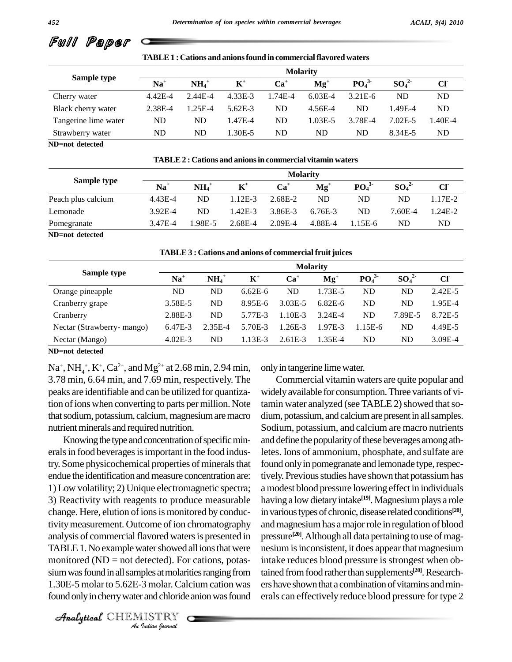| тарыв тусанон англиянын шулпистиян паулуп майтэ |                 |                     |                |         |             |                              |          |                 |  |
|-------------------------------------------------|-----------------|---------------------|----------------|---------|-------------|------------------------------|----------|-----------------|--|
|                                                 | <b>Molarity</b> |                     |                |         |             |                              |          |                 |  |
| Sample type                                     | $\mathbf{Na}^+$ | $NH_4$ <sup>+</sup> | $\mathbf{K}^+$ | $Ca+$   | $Mg^+$      | PO <sub>4</sub> <sup>3</sup> | $SO_4^2$ | Cl <sub>1</sub> |  |
| Cherry water                                    | $4.42E - 4$     | 2.44E-4             | 4.33E-3        | 1.74E-4 | $6.03E-4$   | $3.21E-6$                    | ND       | ND              |  |
| Black cherry water                              | 2.38E-4         | 1.25E-4             | $5.62E-3$      | ND      | 4.56E-4     | ND                           | l.49E-4  | ND              |  |
| Tangerine lime water                            | ND              | ND                  | 1.47E-4        | ND      | $1.03E - 5$ | 3.78E-4                      | 7.02E-5  | $.40E-4$        |  |
| Strawberry water                                | ND              | ND                  | 1.30E-5        | ND      | ND          | ND                           | 8.34E-5  | ND              |  |

**TABLE1 : Cations and anionsfound in commercialflavored waters**

**ND=not detected**

Full Paper

**TABLE2 : Cations and anionsin commercial vitamin waters**

|                    | <b>Molarity</b> |                       |                |                 |         |                              |                              |         |  |
|--------------------|-----------------|-----------------------|----------------|-----------------|---------|------------------------------|------------------------------|---------|--|
| Sample type        | $Na+$           | $\mathbf{NH}_{4}^{+}$ | $\mathbf{K}^+$ | $\mathbf{Ca}^+$ | $Mg+$   | PO <sub>4</sub> <sup>3</sup> | SO <sub>4</sub> <sup>2</sup> | CI      |  |
| Peach plus calcium | 4.43E-4         | ND                    | $1.12E-3$      | 2.68E-2         | ND      | ND                           | ND                           | 1.17E-2 |  |
| Lemonade           | 3.92E-4         | ND.                   | 1.42E-3        | 3.86E-3         | 6.76E-3 | ND                           | 7.60E-4                      | 1.24E-2 |  |
| Pomegranate        | 3.47E-4         | 1.98E-5               | 2.68E-4        | $2.09E-4$       | 4.88E-4 | $1.15E-6$                    | ND                           | ND      |  |
|                    |                 |                       |                |                 |         |                              |                              |         |  |

**ND=not detected**

| <b>TABLE 3 : Cations and anions of commercial fruit juices</b> |  |
|----------------------------------------------------------------|--|
|----------------------------------------------------------------|--|

|                            | <b>Molarity</b> |          |                |             |                          |                              |           |             |  |
|----------------------------|-----------------|----------|----------------|-------------|--------------------------|------------------------------|-----------|-------------|--|
| Sample type                | $Na+$           | $NH_4^+$ | $\mathbf{K}^+$ | $Ca+$       | $\mathbf{M}\mathbf{g}^+$ | PO <sub>4</sub> <sup>3</sup> | $SO_4^2$  | CI          |  |
| Orange pineapple           | ND              | ND       | $6.62E - 6$    | ND          | 1.73E-5                  | ND.                          | <b>ND</b> | $2.42E - 5$ |  |
| Cranberry grape            | 3.58E-5         | ND       | 8.95E-6        | $3.03E - 5$ | $6.82E-6$                | ND.                          | <b>ND</b> | 1.95E-4     |  |
| Cranberry                  | 2.88E-3         | ND       | 5.77E-3        | 1.10E-3     | $3.24E - 4$              | ND                           | 7.89E-5   | 8.72E-5     |  |
| Nectar (Strawberry- mango) | 6.47E-3         | 2.35E-4  | 5.70E-3        | 1.26E-3     | 1.97E-3                  | $1.15E-6$                    | ND        | 4.49E-5     |  |
| Nectar (Mango)             | $4.02E-3$       | ND       | $1.13E-3$      | $2.61E-3$   | 1.35E-4                  | ND                           | ND        | $3.09E-4$   |  |

**ND=not detected**

 $\text{Na}^+$ ,  $\text{NH}_4^+$ ,  $\text{K}^+$ ,  $\text{Ca}^{2+}$ , and  $\text{Mg}^{2+}$  at 2.68 min, 2.94 min, on 3.78 min, 6.64 min, and 7.69 min, respectively. The peaks are identifiable and can be utilized forquantization of ions when converting to parts per million. Note that sodium, potassium, calcium, magnesium are macro nutrient minerals and required nutrition.

monitored (ND = not detected). For cations, potas- inta retected). For<br>ples at molari<br>3 molar. Cale<br>*I*ISTRY Knowing the type and concentration of specific minerals in food beverages is important in the food industry. Some physicochemical properties of minerals that endue the identification and measure concentration are: 1) Low volatility; 2) Unique electromagnetic spectra; 3) Reactivity with reagents to produce measurable change. Here, elution of ions is monitored by conductivity measurement. Outcome of ion chromatography analysis of commercial flavored waters is presented in TABLE 1. No example water showed all ions that were sium was found in all samples at molarities ranging from 1.30E-5 molarto 5.62E-3 molar. Calcium cation was found only in cherry water and chloride anion was found

onlyin tangerine limewater.

Commercial vitamin waters are quite popular and widelyavailable for consumption.Three variants of vitamin water analyzed (see TABLE 2) showed that sodium, potassium, and calcium are present in all samples. Sodium, potassium, and calcium are macro nutrients and define the popularity of these beverages among athletes. Ions of ammonium, phosphate, and sulfate are found only in pomegranate and lemonade type, respectively. Previous studies have shown that potassium has a modest blood pressure lowering effect in individuals having a low dietary intake<sup>[19]</sup>. Magnesium plays a role in various types of chronic, disease related conditions<sup>[20]</sup>, andmagnesiumhas amajorrole in regulation of blood pressure<sup>[20]</sup>. Although all data pertaining to use of magnesium isinconsistent, it does appearthat magnesium intake reduces blood pressure is strongest when obtained from food rather than supplements<sup>[20]</sup>. Researchers have shown that a combination of vitamins and minerals can effectively reduce blood pressure for type 2

CHEMISTRY COMMENT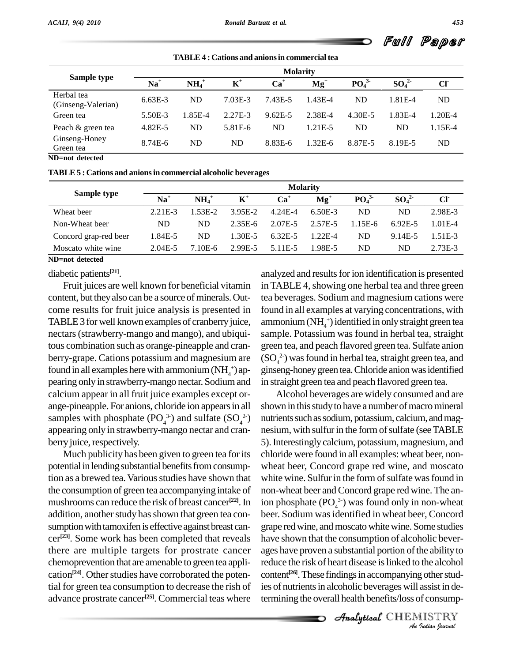| <b>TABLE 4: Cations and anions in commercial tea</b> |                 |                |             |             |                              |          |         |  |  |
|------------------------------------------------------|-----------------|----------------|-------------|-------------|------------------------------|----------|---------|--|--|
|                                                      | <b>Molarity</b> |                |             |             |                              |          |         |  |  |
| $\mathbf{Na}^+$                                      | $NH4+$          | $\mathbf{K}^+$ | $Ca+$       | $Mg+$       | PO <sub>4</sub> <sup>3</sup> | $SO_4^2$ | CI      |  |  |
| $6.63E-3$                                            | <b>ND</b>       | 7.03E-3        | 7.43E-5     | $1.43E - 4$ | ND                           | 1.81E-4  | ND      |  |  |
| 5.50E-3                                              | 1.85E-4         | 2.27E-3        | $9.62E - 5$ | 2.38E-4     | 4.30E-5                      | 1.83E-4  | 1.20E-4 |  |  |
| 4.82E-5                                              | <b>ND</b>       | $5.81E-6$      | ND          | 1.21E-5     | ND                           | ND       | 1.15E-4 |  |  |
| 8.74E-6                                              | ND              | ND             | 8.83E-6     | $1.32E-6$   | 8.87E-5                      | 8.19E-5  | ND      |  |  |
|                                                      |                 |                |             |             |                              |          |         |  |  |

**ND=not detected**

**TABLE5 : Cations and anionsin commercial alcoholic beverages**

| Sample type           | <b>Molarity</b> |          |           |                      |          |                              |          |              |  |
|-----------------------|-----------------|----------|-----------|----------------------|----------|------------------------------|----------|--------------|--|
|                       | $\mathbf{Na}^+$ | $NH_4^+$ | $K^+$     | $Ca+$                | $Mg^+$   | PO <sub>4</sub> <sup>3</sup> | $SO_4^2$ | $Cl^{\cdot}$ |  |
| Wheat beer            | $2.21E-3$       | 1.53E-2  | 3.95E-2   | 4.24E-4              | 6.50E-3  | ND.                          | ND       | 2.98E-3      |  |
| Non-Wheat beer        | ND              | ND       | $2.35E-6$ | 2.07E-5              | 2.57E-5  | $1.15E-6$                    | 6.92E-5  | 1.01E-4      |  |
| Concord grap-red beer | 1.84E-5         | ND       | 1.30E-5   | 6.32E-5              | $122E-4$ | ND                           | 9.14E-5  | 1.51E-3      |  |
| Moscato white wine    | $2.04E - 5$     | $.10E-6$ | 2.99E-5   | 5.11 <sub>E</sub> -5 | 1.98E-5  | ND                           | ND       | 2.73E-3      |  |

**ND=not detected**

diabetic patients **[21]**.

Fruit juices are well known for beneficial vitamin content, but they also can be a source of minerals. Outcome results for fruit juice analysis is presented in TABLE 3 for well known examples of cranberry juice, nectars(strawberry-mango and mango), and ubiquitous combination such as orange-pineapple and cran berry-grape. Cations potassium and magnesium are found in all examples here with ammonium  $(NH_4^+)$  appearing only in strawberry-mango nectar. Sodium and calcium appear in all fruit juice examples except or ange-pineapple. For anions, chloride ion appears in all samples with phosphate  $(PO_4^{3})$  and sulfate  $(SO_4^{2})$  r appearing only in strawberry-mango nectar and cran berry juice, respectively.

Much publicity has been given to green tea for its potential in lending substantial benefits from consumption as a brewed tea. Various studies have shown that the consumption of green tea accompanying intake of mushrooms can reduce the risk of breast cancer<sup>[22]</sup>. In addition, another study has shown that green tea consumption with tamoxifen is effective against breast cancer<sup>[23]</sup>. Some work has been completed that reveals have there are multiple targets for prostrate cancer chemoprevention thatare amenable to green tea appli cation<sup>[24]</sup>. Other studies have corroborated the potential for green tea consumption to decrease the rish of advance prostrate cancer<sup>[25]</sup>. Commercial teas where termin

analyzed and results for ion identification is presented in TABLE 4, showing one herbal tea and three green tea beverages. Sodium and magnesium cations were found in all examples at varying concentrations, with ammonium (NH $<sub>4</sub>$ <sup>+</sup>) identified in only straight green tea</sub> sample. Potassium was found in herbal tea, straight green tea, and peach flavored green tea. Sulfate anion  $(SO_4^2)$  was found in herbal tea, straight green tea, and ginseng-honey green tea. Chloride anion was identified in straight green tea and peach flavored green tea.

ages have proven a substantial portion of the ability to *I* the alcohol<br>*I* other studarsist in de-<br>*I* Consump-<br>IISTRY reduce the risk of heart disease is linked to the alcohol  $^{2}$ ) nutrients such as sodium, potassium, calcium, and mag-<sup>[22]</sup>. In ion phosphate  $(PO_4^{3})$  was found only in non-wheat Alcohol beverages are widely consumed and are shown in this study to have a number of macromineral nesium, with sulfur in the form of sulfate (see TABLE 5).Interestingly calcium, potassium, magnesium, and chloride were found in all examples: wheat beer, non wheat beer, Concord grape red wine, and moscato white wine. Sulfur in the form of sulfate was found in non-wheat beer and Concord grape red wine. The anbeer. Sodium was identified in wheat beer, Concord grape redwine, andmoscato whitewine. Some studies have shown that the consumption of alcoholic bevercontent<sup>[26]</sup>. These findings in accompanying other studies of nutrients in alcoholic beverages will assist in determining the overall health benefits/loss of consump-

CHEMISTRY